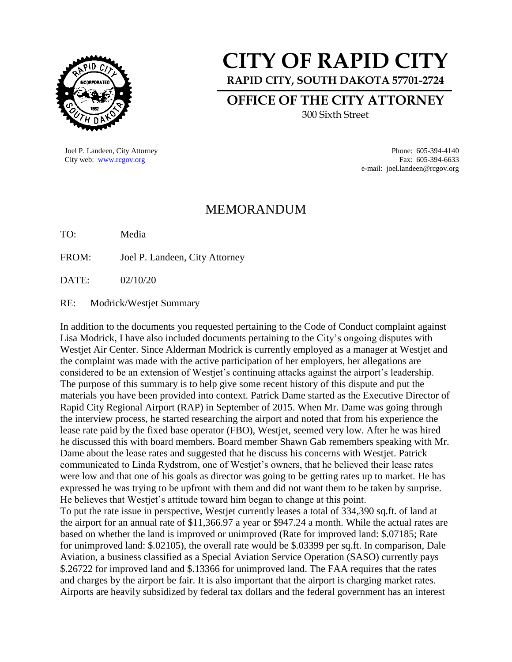

# **CITY OF RAPID CITY**

**RAPID CITY, SOUTH DAKOTA 57701-2724**

**OFFICE OF THE CITY ATTORNEY**

300 Sixth Street

Joel P. Landeen, City Attorney Phone: 605-394-4140

City web: [www.rcgov.org](http://www.rcgov.org/) Fax: 605-394-6633 e-mail: joel.landeen@rcgov.org

## MEMORANDUM

TO: Media

FROM: Joel P. Landeen, City Attorney

DATE: 02/10/20

RE: Modrick/Westjet Summary

In addition to the documents you requested pertaining to the Code of Conduct complaint against Lisa Modrick, I have also included documents pertaining to the City's ongoing disputes with Westjet Air Center. Since Alderman Modrick is currently employed as a manager at Westjet and the complaint was made with the active participation of her employers, her allegations are considered to be an extension of Westjet's continuing attacks against the airport's leadership. The purpose of this summary is to help give some recent history of this dispute and put the materials you have been provided into context. Patrick Dame started as the Executive Director of Rapid City Regional Airport (RAP) in September of 2015. When Mr. Dame was going through the interview process, he started researching the airport and noted that from his experience the lease rate paid by the fixed base operator (FBO), Westjet, seemed very low. After he was hired he discussed this with board members. Board member Shawn Gab remembers speaking with Mr. Dame about the lease rates and suggested that he discuss his concerns with Westjet. Patrick communicated to Linda Rydstrom, one of Westjet's owners, that he believed their lease rates were low and that one of his goals as director was going to be getting rates up to market. He has expressed he was trying to be upfront with them and did not want them to be taken by surprise. He believes that Westjet's attitude toward him began to change at this point. To put the rate issue in perspective, Westjet currently leases a total of 334,390 sq.ft. of land at the airport for an annual rate of \$11,366.97 a year or \$947.24 a month. While the actual rates are based on whether the land is improved or unimproved (Rate for improved land: \$.07185; Rate

for unimproved land: \$.02105), the overall rate would be \$.03399 per sq.ft. In comparison, Dale Aviation, a business classified as a Special Aviation Service Operation (SASO) currently pays \$.26722 for improved land and \$.13366 for unimproved land. The FAA requires that the rates and charges by the airport be fair. It is also important that the airport is charging market rates. Airports are heavily subsidized by federal tax dollars and the federal government has an interest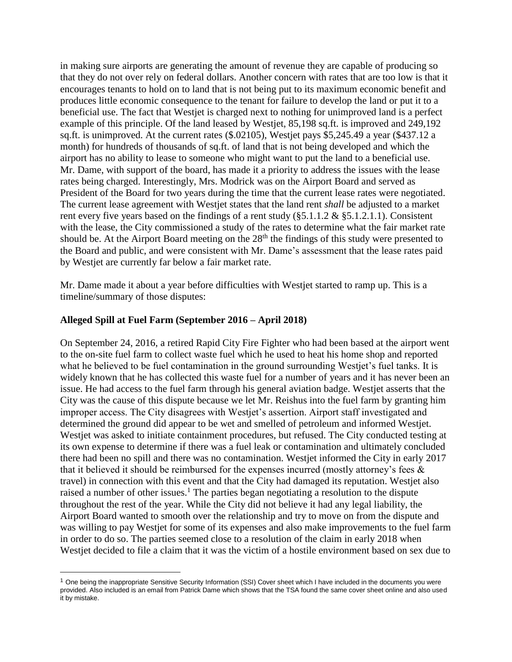in making sure airports are generating the amount of revenue they are capable of producing so that they do not over rely on federal dollars. Another concern with rates that are too low is that it encourages tenants to hold on to land that is not being put to its maximum economic benefit and produces little economic consequence to the tenant for failure to develop the land or put it to a beneficial use. The fact that Westjet is charged next to nothing for unimproved land is a perfect example of this principle. Of the land leased by Westjet, 85,198 sq.ft. is improved and 249,192 sq.ft. is unimproved. At the current rates (\$.02105), Westjet pays \$5,245.49 a year (\$437.12 a month) for hundreds of thousands of sq.ft. of land that is not being developed and which the airport has no ability to lease to someone who might want to put the land to a beneficial use. Mr. Dame, with support of the board, has made it a priority to address the issues with the lease rates being charged. Interestingly, Mrs. Modrick was on the Airport Board and served as President of the Board for two years during the time that the current lease rates were negotiated. The current lease agreement with Westjet states that the land rent *shall* be adjusted to a market rent every five years based on the findings of a rent study  $(\S 5.1.1.2 \& \S 5.1.2.1.1)$ . Consistent with the lease, the City commissioned a study of the rates to determine what the fair market rate should be. At the Airport Board meeting on the  $28<sup>th</sup>$  the findings of this study were presented to the Board and public, and were consistent with Mr. Dame's assessment that the lease rates paid by Westjet are currently far below a fair market rate.

Mr. Dame made it about a year before difficulties with Westjet started to ramp up. This is a timeline/summary of those disputes:

#### **Alleged Spill at Fuel Farm (September 2016 – April 2018)**

 $\overline{a}$ 

On September 24, 2016, a retired Rapid City Fire Fighter who had been based at the airport went to the on-site fuel farm to collect waste fuel which he used to heat his home shop and reported what he believed to be fuel contamination in the ground surrounding Westjet's fuel tanks. It is widely known that he has collected this waste fuel for a number of years and it has never been an issue. He had access to the fuel farm through his general aviation badge. Westjet asserts that the City was the cause of this dispute because we let Mr. Reishus into the fuel farm by granting him improper access. The City disagrees with Westjet's assertion. Airport staff investigated and determined the ground did appear to be wet and smelled of petroleum and informed Westjet. Westjet was asked to initiate containment procedures, but refused. The City conducted testing at its own expense to determine if there was a fuel leak or contamination and ultimately concluded there had been no spill and there was no contamination. Westjet informed the City in early 2017 that it believed it should be reimbursed for the expenses incurred (mostly attorney's fees & travel) in connection with this event and that the City had damaged its reputation. Westjet also raised a number of other issues.<sup>1</sup> The parties began negotiating a resolution to the dispute throughout the rest of the year. While the City did not believe it had any legal liability, the Airport Board wanted to smooth over the relationship and try to move on from the dispute and was willing to pay Westjet for some of its expenses and also make improvements to the fuel farm in order to do so. The parties seemed close to a resolution of the claim in early 2018 when Westjet decided to file a claim that it was the victim of a hostile environment based on sex due to

<sup>&</sup>lt;sup>1</sup> One being the inappropriate Sensitive Security Information (SSI) Cover sheet which I have included in the documents you were provided. Also included is an email from Patrick Dame which shows that the TSA found the same cover sheet online and also used it by mistake.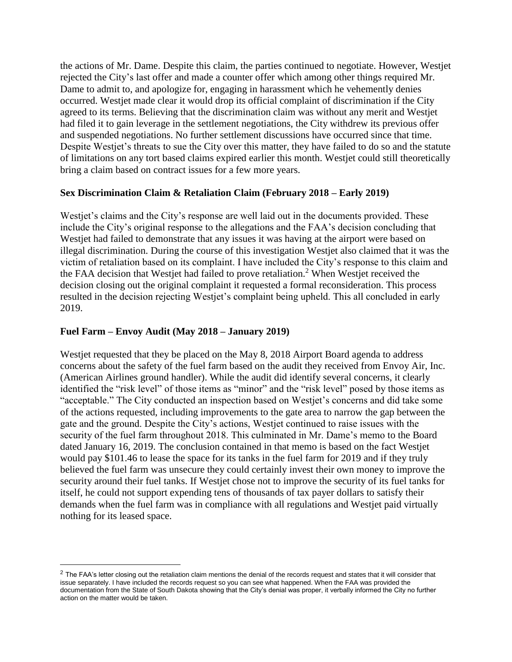the actions of Mr. Dame. Despite this claim, the parties continued to negotiate. However, Westjet rejected the City's last offer and made a counter offer which among other things required Mr. Dame to admit to, and apologize for, engaging in harassment which he vehemently denies occurred. Westjet made clear it would drop its official complaint of discrimination if the City agreed to its terms. Believing that the discrimination claim was without any merit and Westjet had filed it to gain leverage in the settlement negotiations, the City withdrew its previous offer and suspended negotiations. No further settlement discussions have occurred since that time. Despite Westjet's threats to sue the City over this matter, they have failed to do so and the statute of limitations on any tort based claims expired earlier this month. Westjet could still theoretically bring a claim based on contract issues for a few more years.

#### **Sex Discrimination Claim & Retaliation Claim (February 2018 – Early 2019)**

Westjet's claims and the City's response are well laid out in the documents provided. These include the City's original response to the allegations and the FAA's decision concluding that Westjet had failed to demonstrate that any issues it was having at the airport were based on illegal discrimination. During the course of this investigation Westjet also claimed that it was the victim of retaliation based on its complaint. I have included the City's response to this claim and the FAA decision that Westjet had failed to prove retaliation.<sup>2</sup> When Westjet received the decision closing out the original complaint it requested a formal reconsideration. This process resulted in the decision rejecting Westjet's complaint being upheld. This all concluded in early 2019.

### **Fuel Farm – Envoy Audit (May 2018 – January 2019)**

 $\overline{a}$ 

Westjet requested that they be placed on the May 8, 2018 Airport Board agenda to address concerns about the safety of the fuel farm based on the audit they received from Envoy Air, Inc. (American Airlines ground handler). While the audit did identify several concerns, it clearly identified the "risk level" of those items as "minor" and the "risk level" posed by those items as "acceptable." The City conducted an inspection based on Westjet's concerns and did take some of the actions requested, including improvements to the gate area to narrow the gap between the gate and the ground. Despite the City's actions, Westjet continued to raise issues with the security of the fuel farm throughout 2018. This culminated in Mr. Dame's memo to the Board dated January 16, 2019. The conclusion contained in that memo is based on the fact Westjet would pay \$101.46 to lease the space for its tanks in the fuel farm for 2019 and if they truly believed the fuel farm was unsecure they could certainly invest their own money to improve the security around their fuel tanks. If Westjet chose not to improve the security of its fuel tanks for itself, he could not support expending tens of thousands of tax payer dollars to satisfy their demands when the fuel farm was in compliance with all regulations and Westjet paid virtually nothing for its leased space.

 $2$  The FAA's letter closing out the retaliation claim mentions the denial of the records request and states that it will consider that issue separately. I have included the records request so you can see what happened. When the FAA was provided the documentation from the State of South Dakota showing that the City's denial was proper, it verbally informed the City no further action on the matter would be taken.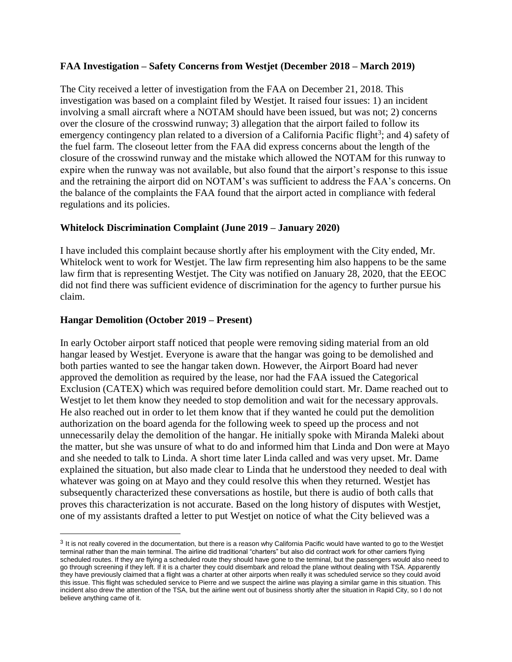#### **FAA Investigation – Safety Concerns from Westjet (December 2018 – March 2019)**

The City received a letter of investigation from the FAA on December 21, 2018. This investigation was based on a complaint filed by Westjet. It raised four issues: 1) an incident involving a small aircraft where a NOTAM should have been issued, but was not; 2) concerns over the closure of the crosswind runway; 3) allegation that the airport failed to follow its emergency contingency plan related to a diversion of a California Pacific flight<sup>3</sup>; and 4) safety of the fuel farm. The closeout letter from the FAA did express concerns about the length of the closure of the crosswind runway and the mistake which allowed the NOTAM for this runway to expire when the runway was not available, but also found that the airport's response to this issue and the retraining the airport did on NOTAM's was sufficient to address the FAA's concerns. On the balance of the complaints the FAA found that the airport acted in compliance with federal regulations and its policies.

#### **Whitelock Discrimination Complaint (June 2019 – January 2020)**

I have included this complaint because shortly after his employment with the City ended, Mr. Whitelock went to work for Westjet. The law firm representing him also happens to be the same law firm that is representing Westjet. The City was notified on January 28, 2020, that the EEOC did not find there was sufficient evidence of discrimination for the agency to further pursue his claim.

#### **Hangar Demolition (October 2019 – Present)**

 $\overline{a}$ 

In early October airport staff noticed that people were removing siding material from an old hangar leased by Westjet. Everyone is aware that the hangar was going to be demolished and both parties wanted to see the hangar taken down. However, the Airport Board had never approved the demolition as required by the lease, nor had the FAA issued the Categorical Exclusion (CATEX) which was required before demolition could start. Mr. Dame reached out to Westjet to let them know they needed to stop demolition and wait for the necessary approvals. He also reached out in order to let them know that if they wanted he could put the demolition authorization on the board agenda for the following week to speed up the process and not unnecessarily delay the demolition of the hangar. He initially spoke with Miranda Maleki about the matter, but she was unsure of what to do and informed him that Linda and Don were at Mayo and she needed to talk to Linda. A short time later Linda called and was very upset. Mr. Dame explained the situation, but also made clear to Linda that he understood they needed to deal with whatever was going on at Mayo and they could resolve this when they returned. Westjet has subsequently characterized these conversations as hostile, but there is audio of both calls that proves this characterization is not accurate. Based on the long history of disputes with Westjet, one of my assistants drafted a letter to put Westjet on notice of what the City believed was a

 $3$  It is not really covered in the documentation, but there is a reason why California Pacific would have wanted to go to the Westjet terminal rather than the main terminal. The airline did traditional "charters" but also did contract work for other carriers flying scheduled routes. If they are flying a scheduled route they should have gone to the terminal, but the passengers would also need to go through screening if they left. If it is a charter they could disembark and reload the plane without dealing with TSA. Apparently they have previously claimed that a flight was a charter at other airports when really it was scheduled service so they could avoid this issue. This flight was scheduled service to Pierre and we suspect the airline was playing a similar game in this situation. This incident also drew the attention of the TSA, but the airline went out of business shortly after the situation in Rapid City, so I do not believe anything came of it.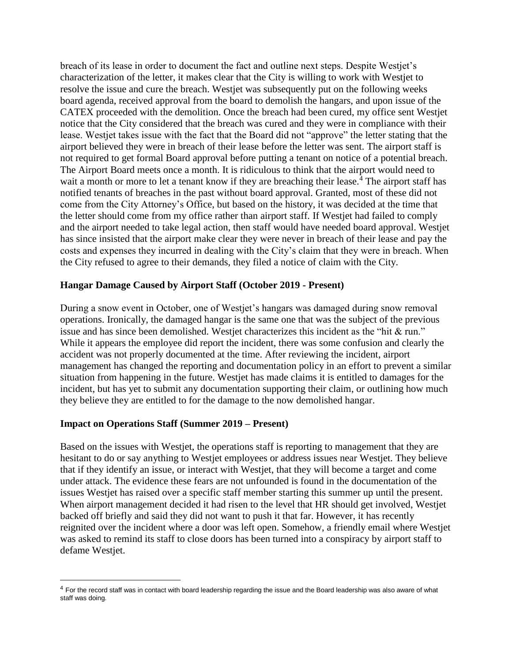breach of its lease in order to document the fact and outline next steps. Despite Westjet's characterization of the letter, it makes clear that the City is willing to work with Westjet to resolve the issue and cure the breach. Westjet was subsequently put on the following weeks board agenda, received approval from the board to demolish the hangars, and upon issue of the CATEX proceeded with the demolition. Once the breach had been cured, my office sent Westjet notice that the City considered that the breach was cured and they were in compliance with their lease. Westjet takes issue with the fact that the Board did not "approve" the letter stating that the airport believed they were in breach of their lease before the letter was sent. The airport staff is not required to get formal Board approval before putting a tenant on notice of a potential breach. The Airport Board meets once a month. It is ridiculous to think that the airport would need to wait a month or more to let a tenant know if they are breaching their lease.<sup>4</sup> The airport staff has notified tenants of breaches in the past without board approval. Granted, most of these did not come from the City Attorney's Office, but based on the history, it was decided at the time that the letter should come from my office rather than airport staff. If Westjet had failed to comply and the airport needed to take legal action, then staff would have needed board approval. Westjet has since insisted that the airport make clear they were never in breach of their lease and pay the costs and expenses they incurred in dealing with the City's claim that they were in breach. When the City refused to agree to their demands, they filed a notice of claim with the City.

#### **Hangar Damage Caused by Airport Staff (October 2019 - Present)**

During a snow event in October, one of Westjet's hangars was damaged during snow removal operations. Ironically, the damaged hangar is the same one that was the subject of the previous issue and has since been demolished. Westjet characterizes this incident as the "hit & run." While it appears the employee did report the incident, there was some confusion and clearly the accident was not properly documented at the time. After reviewing the incident, airport management has changed the reporting and documentation policy in an effort to prevent a similar situation from happening in the future. Westjet has made claims it is entitled to damages for the incident, but has yet to submit any documentation supporting their claim, or outlining how much they believe they are entitled to for the damage to the now demolished hangar.

#### **Impact on Operations Staff (Summer 2019 – Present)**

 $\overline{a}$ 

Based on the issues with Westjet, the operations staff is reporting to management that they are hesitant to do or say anything to Westjet employees or address issues near Westjet. They believe that if they identify an issue, or interact with Westjet, that they will become a target and come under attack. The evidence these fears are not unfounded is found in the documentation of the issues Westjet has raised over a specific staff member starting this summer up until the present. When airport management decided it had risen to the level that HR should get involved, Westjet backed off briefly and said they did not want to push it that far. However, it has recently reignited over the incident where a door was left open. Somehow, a friendly email where Westjet was asked to remind its staff to close doors has been turned into a conspiracy by airport staff to defame Westjet.

<sup>&</sup>lt;sup>4</sup> For the record staff was in contact with board leadership regarding the issue and the Board leadership was also aware of what staff was doing.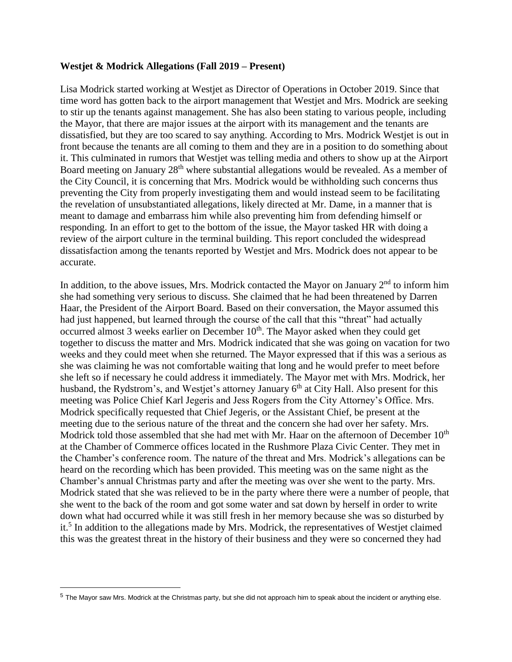#### **Westjet & Modrick Allegations (Fall 2019 – Present)**

Lisa Modrick started working at Westjet as Director of Operations in October 2019. Since that time word has gotten back to the airport management that Westjet and Mrs. Modrick are seeking to stir up the tenants against management. She has also been stating to various people, including the Mayor, that there are major issues at the airport with its management and the tenants are dissatisfied, but they are too scared to say anything. According to Mrs. Modrick Westjet is out in front because the tenants are all coming to them and they are in a position to do something about it. This culminated in rumors that Westjet was telling media and others to show up at the Airport Board meeting on January 28<sup>th</sup> where substantial allegations would be revealed. As a member of the City Council, it is concerning that Mrs. Modrick would be withholding such concerns thus preventing the City from properly investigating them and would instead seem to be facilitating the revelation of unsubstantiated allegations, likely directed at Mr. Dame, in a manner that is meant to damage and embarrass him while also preventing him from defending himself or responding. In an effort to get to the bottom of the issue, the Mayor tasked HR with doing a review of the airport culture in the terminal building. This report concluded the widespread dissatisfaction among the tenants reported by Westjet and Mrs. Modrick does not appear to be accurate.

In addition, to the above issues, Mrs. Modrick contacted the Mayor on January 2<sup>nd</sup> to inform him she had something very serious to discuss. She claimed that he had been threatened by Darren Haar, the President of the Airport Board. Based on their conversation, the Mayor assumed this had just happened, but learned through the course of the call that this "threat" had actually occurred almost 3 weeks earlier on December  $10<sup>th</sup>$ . The Mayor asked when they could get together to discuss the matter and Mrs. Modrick indicated that she was going on vacation for two weeks and they could meet when she returned. The Mayor expressed that if this was a serious as she was claiming he was not comfortable waiting that long and he would prefer to meet before she left so if necessary he could address it immediately. The Mayor met with Mrs. Modrick, her husband, the Rydstrom's, and Westjet's attorney January 6<sup>th</sup> at City Hall. Also present for this meeting was Police Chief Karl Jegeris and Jess Rogers from the City Attorney's Office. Mrs. Modrick specifically requested that Chief Jegeris, or the Assistant Chief, be present at the meeting due to the serious nature of the threat and the concern she had over her safety. Mrs. Modrick told those assembled that she had met with Mr. Haar on the afternoon of December  $10<sup>th</sup>$ at the Chamber of Commerce offices located in the Rushmore Plaza Civic Center. They met in the Chamber's conference room. The nature of the threat and Mrs. Modrick's allegations can be heard on the recording which has been provided. This meeting was on the same night as the Chamber's annual Christmas party and after the meeting was over she went to the party. Mrs. Modrick stated that she was relieved to be in the party where there were a number of people, that she went to the back of the room and got some water and sat down by herself in order to write down what had occurred while it was still fresh in her memory because she was so disturbed by it.<sup>5</sup> In addition to the allegations made by Mrs. Modrick, the representatives of Westjet claimed this was the greatest threat in the history of their business and they were so concerned they had

 $\overline{a}$ 

 $5$  The Mayor saw Mrs. Modrick at the Christmas party, but she did not approach him to speak about the incident or anything else.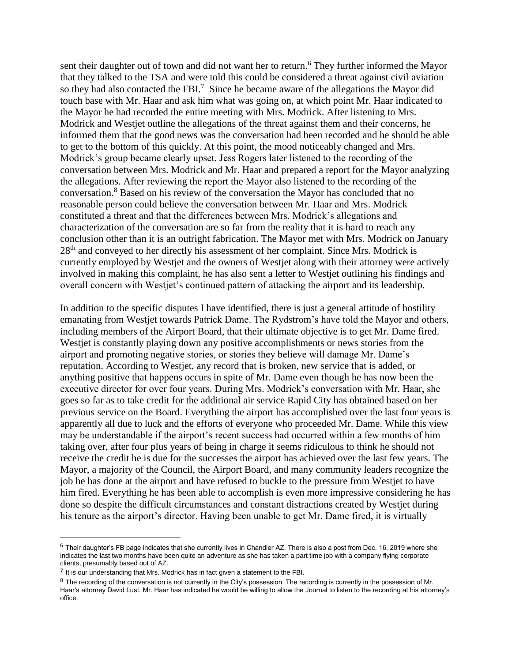sent their daughter out of town and did not want her to return.<sup>6</sup> They further informed the Mayor that they talked to the TSA and were told this could be considered a threat against civil aviation so they had also contacted the FBI.<sup>7</sup> Since he became aware of the allegations the Mayor did touch base with Mr. Haar and ask him what was going on, at which point Mr. Haar indicated to the Mayor he had recorded the entire meeting with Mrs. Modrick. After listening to Mrs. Modrick and Westjet outline the allegations of the threat against them and their concerns, he informed them that the good news was the conversation had been recorded and he should be able to get to the bottom of this quickly. At this point, the mood noticeably changed and Mrs. Modrick's group became clearly upset. Jess Rogers later listened to the recording of the conversation between Mrs. Modrick and Mr. Haar and prepared a report for the Mayor analyzing the allegations. After reviewing the report the Mayor also listened to the recording of the conversation.<sup>8</sup> Based on his review of the conversation the Mayor has concluded that no reasonable person could believe the conversation between Mr. Haar and Mrs. Modrick constituted a threat and that the differences between Mrs. Modrick's allegations and characterization of the conversation are so far from the reality that it is hard to reach any conclusion other than it is an outright fabrication. The Mayor met with Mrs. Modrick on January 28<sup>th</sup> and conveyed to her directly his assessment of her complaint. Since Mrs. Modrick is currently employed by Westjet and the owners of Westjet along with their attorney were actively involved in making this complaint, he has also sent a letter to Westjet outlining his findings and overall concern with Westjet's continued pattern of attacking the airport and its leadership.

In addition to the specific disputes I have identified, there is just a general attitude of hostility emanating from Westjet towards Patrick Dame. The Rydstrom's have told the Mayor and others, including members of the Airport Board, that their ultimate objective is to get Mr. Dame fired. Westjet is constantly playing down any positive accomplishments or news stories from the airport and promoting negative stories, or stories they believe will damage Mr. Dame's reputation. According to Westjet, any record that is broken, new service that is added, or anything positive that happens occurs in spite of Mr. Dame even though he has now been the executive director for over four years. During Mrs. Modrick's conversation with Mr. Haar, she goes so far as to take credit for the additional air service Rapid City has obtained based on her previous service on the Board. Everything the airport has accomplished over the last four years is apparently all due to luck and the efforts of everyone who proceeded Mr. Dame. While this view may be understandable if the airport's recent success had occurred within a few months of him taking over, after four plus years of being in charge it seems ridiculous to think he should not receive the credit he is due for the successes the airport has achieved over the last few years. The Mayor, a majority of the Council, the Airport Board, and many community leaders recognize the job he has done at the airport and have refused to buckle to the pressure from Westjet to have him fired. Everything he has been able to accomplish is even more impressive considering he has done so despite the difficult circumstances and constant distractions created by Westjet during his tenure as the airport's director. Having been unable to get Mr. Dame fired, it is virtually

 $\overline{a}$ 

 $6$  Their daughter's FB page indicates that she currently lives in Chandler AZ. There is also a post from Dec. 16, 2019 where she indicates the last two months have been quite an adventure as she has taken a part time job with a company flying corporate clients, presumably based out of AZ.

 $<sup>7</sup>$  It is our understanding that Mrs. Modrick has in fact given a statement to the FBI.</sup>

<sup>&</sup>lt;sup>8</sup> The recording of the conversation is not currently in the City's possession. The recording is currently in the possession of Mr. Haar's attorney David Lust. Mr. Haar has indicated he would be willing to allow the Journal to listen to the recording at his attorney's office.